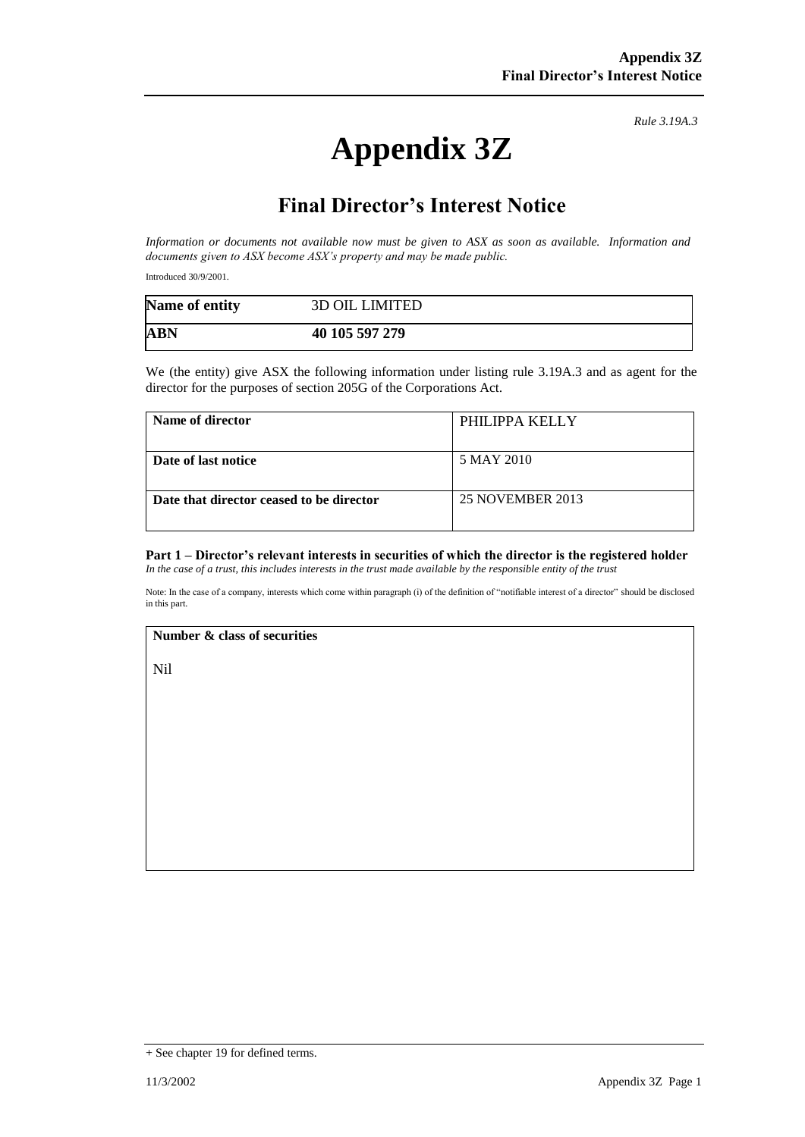# **Appendix 3Z**

*Rule 3.19A.3*

## **Final Director's Interest Notice**

*Information or documents not available now must be given to ASX as soon as available. Information and documents given to ASX become ASX's property and may be made public.*

Introduced 30/9/2001.

| Name of entity | <b>3D OIL LIMITED</b> |
|----------------|-----------------------|
| <b>ABN</b>     | 40 105 597 279        |

We (the entity) give ASX the following information under listing rule 3.19A.3 and as agent for the director for the purposes of section 205G of the Corporations Act.

| Name of director                         | PHILIPPA KELLY          |
|------------------------------------------|-------------------------|
| Date of last notice                      | 5 MAY 2010              |
| Date that director ceased to be director | <b>25 NOVEMBER 2013</b> |

#### **Part 1 – Director's relevant interests in securities of which the director is the registered holder** *In the case of a trust, this includes interests in the trust made available by the responsible entity of the trust*

Note: In the case of a company, interests which come within paragraph (i) of the definition of "notifiable interest of a director" should be disclosed in this part.

#### **Number & class of securities**

Nil

<sup>+</sup> See chapter 19 for defined terms.